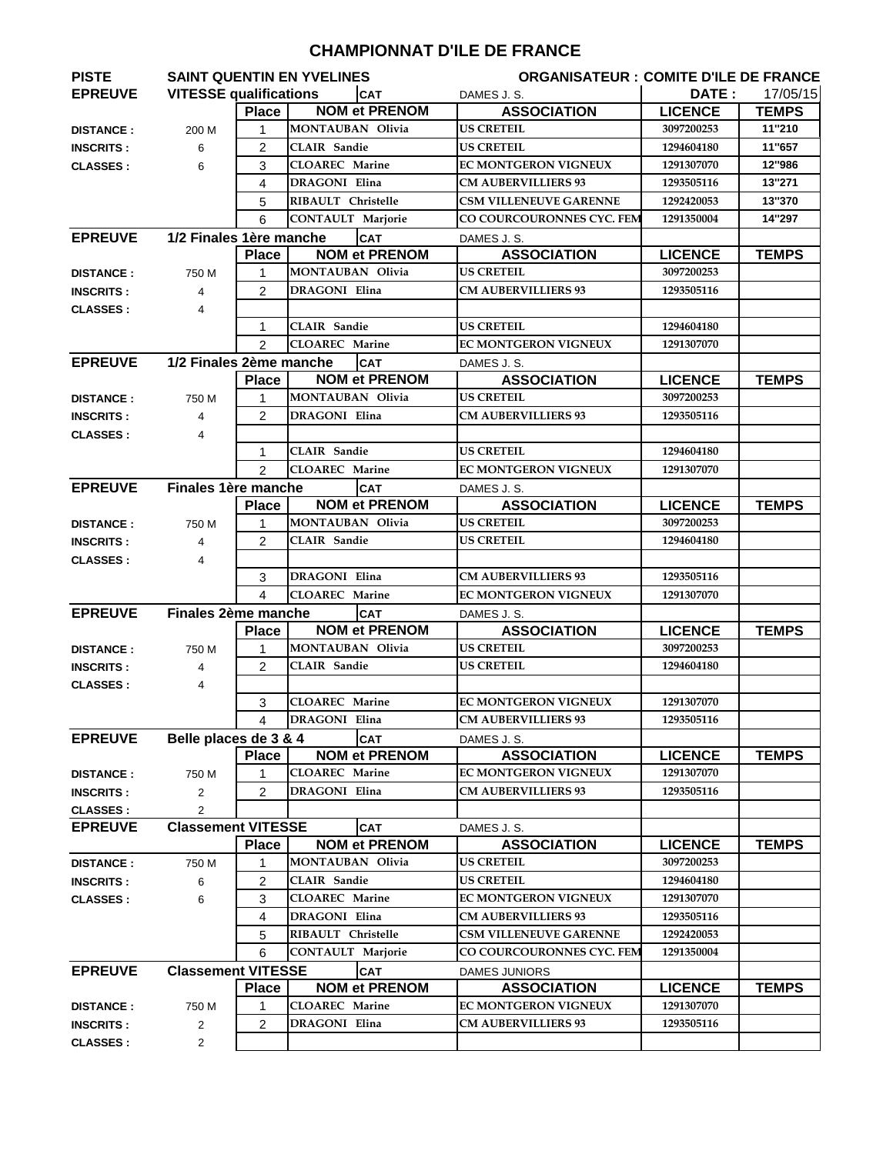## **CHAMPIONNAT D'ILE DE FRANCE**

| <b>PISTE</b>     |                               |                | <b>SAINT QUENTIN EN YVELINES</b> |                      |                               | <b>ORGANISATEUR : COMITE D'ILE DE FRANCE</b> |              |  |
|------------------|-------------------------------|----------------|----------------------------------|----------------------|-------------------------------|----------------------------------------------|--------------|--|
| <b>EPREUVE</b>   | <b>VITESSE qualifications</b> |                |                                  | <b>CAT</b>           | DAMES J.S.                    | DATE:                                        | 17/05/15     |  |
|                  |                               | <b>Place</b>   |                                  | <b>NOM et PRENOM</b> | <b>ASSOCIATION</b>            | <b>LICENCE</b>                               | <b>TEMPS</b> |  |
| <b>DISTANCE:</b> | 200 M                         | 1              | <b>MONTAUBAN Olivia</b>          |                      | <b>US CRETEIL</b>             | 3097200253                                   | 11"210       |  |
| <b>INSCRITS:</b> | 6                             | $\overline{c}$ | <b>CLAIR</b> Sandie              |                      | <b>US CRETEIL</b>             | 1294604180                                   | 11"657       |  |
| <b>CLASSES:</b>  | 6                             | 3              | <b>CLOAREC</b> Marine            |                      | <b>EC MONTGERON VIGNEUX</b>   | 1291307070                                   | 12"986       |  |
|                  |                               | 4              | <b>DRAGONI</b> Elina             |                      | <b>CM AUBERVILLIERS 93</b>    | 1293505116                                   | 13"271       |  |
|                  |                               | 5              | RIBAULT Christelle               |                      | <b>CSM VILLENEUVE GARENNE</b> | 1292420053                                   | 13"370       |  |
|                  |                               | 6              | <b>CONTAULT Marjorie</b>         |                      | CO COURCOURONNES CYC. FEM     | 1291350004                                   | 14"297       |  |
| <b>EPREUVE</b>   | 1/2 Finales 1ère manche       |                |                                  | <b>CAT</b>           | DAMES J.S.                    |                                              |              |  |
|                  |                               | <b>Place</b>   |                                  | <b>NOM et PRENOM</b> | <b>ASSOCIATION</b>            | <b>LICENCE</b>                               | <b>TEMPS</b> |  |
| <b>DISTANCE:</b> | 750 M                         | 1              | <b>MONTAUBAN Olivia</b>          |                      | <b>US CRETEIL</b>             | 3097200253                                   |              |  |
| <b>INSCRITS:</b> | 4                             | $\overline{2}$ | <b>DRAGONI Elina</b>             |                      | <b>CM AUBERVILLIERS 93</b>    | 1293505116                                   |              |  |
| <b>CLASSES:</b>  | 4                             |                |                                  |                      |                               |                                              |              |  |
|                  |                               | 1              | <b>CLAIR</b> Sandie              |                      | <b>US CRETEIL</b>             | 1294604180                                   |              |  |
|                  |                               | 2              | <b>CLOAREC</b> Marine            |                      | EC MONTGERON VIGNEUX          | 1291307070                                   |              |  |
| <b>EPREUVE</b>   | 1/2 Finales 2ème manche       |                |                                  | <b>CAT</b>           | DAMES J.S.                    |                                              |              |  |
|                  |                               | <b>Place</b>   |                                  | <b>NOM et PRENOM</b> | <b>ASSOCIATION</b>            | <b>LICENCE</b>                               | <b>TEMPS</b> |  |
| <b>DISTANCE:</b> | 750 M                         | 1              | <b>MONTAUBAN Olivia</b>          |                      | <b>US CRETEIL</b>             | 3097200253                                   |              |  |
| <b>INSCRITS:</b> | 4                             | $\mathcal{P}$  | <b>DRAGONI Elina</b>             |                      | <b>CM AUBERVILLIERS 93</b>    | 1293505116                                   |              |  |
| <b>CLASSES:</b>  | 4                             |                |                                  |                      |                               |                                              |              |  |
|                  |                               | 1              | <b>CLAIR</b> Sandie              |                      | US CRETEIL                    | 1294604180                                   |              |  |
|                  |                               | $\mathfrak{p}$ | <b>CLOAREC</b> Marine            |                      | <b>EC MONTGERON VIGNEUX</b>   | 1291307070                                   |              |  |
| <b>EPREUVE</b>   | Finales 1ère manche           |                |                                  | <b>CAT</b>           | DAMES J.S.                    |                                              |              |  |
|                  |                               | <b>Place</b>   |                                  | <b>NOM et PRENOM</b> | <b>ASSOCIATION</b>            | <b>LICENCE</b>                               | <b>TEMPS</b> |  |
| <b>DISTANCE:</b> | 750 M                         | $\mathbf 1$    | <b>MONTAUBAN Olivia</b>          |                      | <b>US CRETEIL</b>             | 3097200253                                   |              |  |
| <b>INSCRITS:</b> | 4                             | 2              | <b>CLAIR Sandie</b>              |                      | US CRETEIL                    | 1294604180                                   |              |  |
| <b>CLASSES:</b>  | 4                             |                |                                  |                      |                               |                                              |              |  |
|                  |                               | 3              | <b>DRAGONI Elina</b>             |                      | <b>CM AUBERVILLIERS 93</b>    | 1293505116                                   |              |  |
|                  |                               | $\overline{4}$ | <b>CLOAREC</b> Marine            |                      | <b>EC MONTGERON VIGNEUX</b>   | 1291307070                                   |              |  |
| <b>EPREUVE</b>   | Finales 2ème manche           |                |                                  | <b>CAT</b>           | DAMES J.S.                    |                                              |              |  |
|                  |                               | <b>Place</b>   |                                  | <b>NOM et PRENOM</b> | <b>ASSOCIATION</b>            | <b>LICENCE</b>                               | <b>TEMPS</b> |  |
| <b>DISTANCE:</b> | 750 M                         | 1              | <b>MONTAUBAN Olivia</b>          |                      | <b>US CRETEIL</b>             | 3097200253                                   |              |  |
| <b>INSCRITS:</b> | 4                             | 2              | <b>CLAIR</b> Sandie              |                      | <b>US CRETEIL</b>             | 1294604180                                   |              |  |
| <b>CLASSES:</b>  | 4                             |                |                                  |                      |                               |                                              |              |  |
|                  |                               | 3              | <b>CLOAREC</b> Marine            |                      | <b>EC MONTGERON VIGNEUX</b>   | 1291307070                                   |              |  |
|                  |                               | 4              | <b>DRAGONI</b> Elina             |                      | <b>CM AUBERVILLIERS 93</b>    | 1293505116                                   |              |  |
| <b>EPREUVE</b>   | Belle places de 3 & 4         |                |                                  | <b>CAT</b>           | DAMES J.S.                    |                                              |              |  |
|                  |                               | <b>Place</b>   |                                  | <b>NOM et PRENOM</b> | <b>ASSOCIATION</b>            | <b>LICENCE</b>                               | <b>TEMPS</b> |  |
| <b>DISTANCE:</b> | 750 M                         | 1              | <b>CLOAREC</b> Marine            |                      | EC MONTGERON VIGNEUX          | 1291307070                                   |              |  |
| <b>INSCRITS:</b> | $\overline{2}$                | $\overline{2}$ | DRAGONI Elina                    |                      | <b>CM AUBERVILLIERS 93</b>    | 1293505116                                   |              |  |
| <b>CLASSES:</b>  | 2                             |                |                                  |                      |                               |                                              |              |  |
| <b>EPREUVE</b>   | <b>Classement VITESSE</b>     |                |                                  | <b>CAT</b>           | DAMES J.S.                    |                                              |              |  |
|                  |                               | <b>Place</b>   |                                  | <b>NOM et PRENOM</b> | <b>ASSOCIATION</b>            | <b>LICENCE</b>                               | <b>TEMPS</b> |  |
| <b>DISTANCE:</b> | 750 M                         | 1              | MONTAUBAN Olivia                 |                      | <b>US CRETEIL</b>             | 3097200253                                   |              |  |
| <b>INSCRITS:</b> | 6                             | $\overline{c}$ | <b>CLAIR</b> Sandie              |                      | <b>US CRETEIL</b>             | 1294604180                                   |              |  |
| <b>CLASSES:</b>  | 6                             | 3              | <b>CLOAREC</b> Marine            |                      | EC MONTGERON VIGNEUX          | 1291307070                                   |              |  |
|                  |                               | 4              | DRAGONI Elina                    |                      | <b>CM AUBERVILLIERS 93</b>    | 1293505116                                   |              |  |
|                  |                               | 5              | RIBAULT Christelle               |                      | <b>CSM VILLENEUVE GARENNE</b> | 1292420053                                   |              |  |
|                  |                               | 6              | <b>CONTAULT Marjorie</b>         |                      | CO COURCOURONNES CYC. FEM     | 1291350004                                   |              |  |
| <b>EPREUVE</b>   | <b>Classement VITESSE</b>     |                |                                  | <b>CAT</b>           | <b>DAMES JUNIORS</b>          |                                              |              |  |
|                  |                               | <b>Place</b>   |                                  | <b>NOM et PRENOM</b> | <b>ASSOCIATION</b>            | <b>LICENCE</b>                               | <b>TEMPS</b> |  |
| <b>DISTANCE:</b> | 750 M                         | 1              | <b>CLOAREC</b> Marine            |                      | EC MONTGERON VIGNEUX          | 1291307070                                   |              |  |
|                  |                               |                |                                  |                      |                               |                                              |              |  |
| <b>INSCRITS:</b> | 2                             | 2              | DRAGONI Elina                    |                      | <b>CM AUBERVILLIERS 93</b>    | 1293505116                                   |              |  |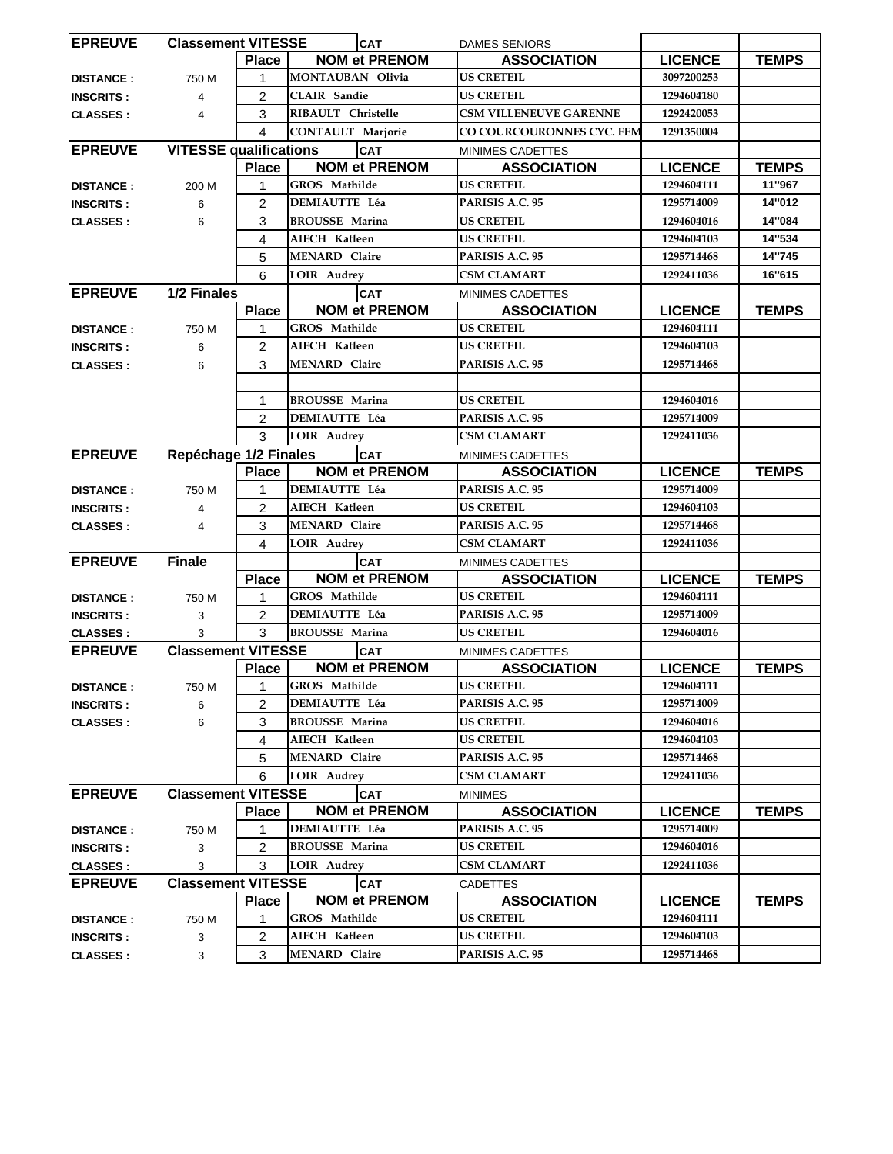| <b>EPREUVE</b><br><b>Classement VITESSE</b> |                               |                         | <b>CAT</b>               | <b>DAMES SENIORS</b>          |                |              |
|---------------------------------------------|-------------------------------|-------------------------|--------------------------|-------------------------------|----------------|--------------|
|                                             |                               | <b>Place</b>            | <b>NOM et PRENOM</b>     | <b>ASSOCIATION</b>            | <b>LICENCE</b> | <b>TEMPS</b> |
| <b>DISTANCE:</b>                            | 750 M                         | 1                       | <b>MONTAUBAN Olivia</b>  | <b>US CRETEIL</b>             | 3097200253     |              |
| <b>INSCRITS:</b>                            | 4                             | $\overline{2}$          | <b>CLAIR</b> Sandie      | <b>US CRETEIL</b>             | 1294604180     |              |
| <b>CLASSES:</b>                             | 4                             | 3                       | RIBAULT Christelle       | <b>CSM VILLENEUVE GARENNE</b> | 1292420053     |              |
|                                             |                               | 4                       | <b>CONTAULT Marjorie</b> | CO COURCOURONNES CYC. FEM     | 1291350004     |              |
| <b>EPREUVE</b>                              | <b>VITESSE qualifications</b> |                         | <b>CAT</b>               | MINIMES CADETTES              |                |              |
|                                             |                               | <b>Place</b>            | <b>NOM et PRENOM</b>     | <b>ASSOCIATION</b>            | <b>LICENCE</b> | <b>TEMPS</b> |
| <b>DISTANCE:</b>                            | 200 M                         | 1                       | GROS Mathilde            | <b>US CRETEIL</b>             | 1294604111     | 11"967       |
| <b>INSCRITS:</b>                            | 6                             | $\overline{2}$          | <b>DEMIAUTTE Léa</b>     | PARISIS A.C. 95               | 1295714009     | 14"012       |
| <b>CLASSES:</b>                             | 6                             | 3                       | <b>BROUSSE Marina</b>    | <b>US CRETEIL</b>             | 1294604016     | 14"084       |
|                                             |                               | 4                       | AIECH Katleen            | <b>US CRETEIL</b>             | 1294604103     | 14"534       |
|                                             |                               | 5                       | <b>MENARD Claire</b>     | PARISIS A.C. 95               | 1295714468     | 14"745       |
|                                             |                               | 6                       | LOIR Audrey              | <b>CSM CLAMART</b>            | 1292411036     | 16"615       |
| <b>EPREUVE</b>                              | 1/2 Finales                   |                         | CAT                      | MINIMES CADETTES              |                |              |
|                                             |                               | <b>Place</b>            | <b>NOM et PRENOM</b>     | <b>ASSOCIATION</b>            | <b>LICENCE</b> | <b>TEMPS</b> |
| <b>DISTANCE:</b>                            | 750 M                         | 1                       | GROS Mathilde            | <b>US CRETEIL</b>             | 1294604111     |              |
| <b>INSCRITS:</b>                            | 6                             | 2                       | AIECH Katleen            | <b>US CRETEIL</b>             | 1294604103     |              |
| <b>CLASSES:</b>                             | 6                             | 3                       | <b>MENARD Claire</b>     | PARISIS A.C. 95               | 1295714468     |              |
|                                             |                               |                         |                          |                               |                |              |
|                                             |                               | 1                       | <b>BROUSSE Marina</b>    | <b>US CRETEIL</b>             | 1294604016     |              |
|                                             |                               | 2                       | <b>DEMIAUTTE Léa</b>     | PARISIS A.C. 95               | 1295714009     |              |
|                                             |                               | 3                       | LOIR Audrey              | <b>CSM CLAMART</b>            | 1292411036     |              |
| <b>EPREUVE</b>                              | Repéchage 1/2 Finales         |                         | <b>CAT</b>               | MINIMES CADETTES              |                |              |
|                                             |                               | <b>Place</b>            | <b>NOM et PRENOM</b>     | <b>ASSOCIATION</b>            | <b>LICENCE</b> | <b>TEMPS</b> |
| <b>DISTANCE:</b>                            | 750 M                         | 1                       | <b>DEMIAUTTE Léa</b>     | PARISIS A.C. 95               | 1295714009     |              |
| <b>INSCRITS:</b>                            | 4                             | 2                       | AIECH Katleen            | <b>US CRETEIL</b>             | 1294604103     |              |
| <b>CLASSES:</b>                             | 4                             | 3                       | <b>MENARD Claire</b>     | PARISIS A.C. 95               | 1295714468     |              |
|                                             |                               | $\overline{\mathbf{A}}$ | <b>LOIR Audrey</b>       | CSM CLAMART                   | 1292411036     |              |
| <b>EPREUVE</b>                              | <b>Finale</b>                 |                         | <b>CAT</b>               | MINIMES CADETTES              |                |              |
|                                             |                               | <b>Place</b>            | <b>NOM et PRENOM</b>     | <b>ASSOCIATION</b>            | <b>LICENCE</b> | <b>TEMPS</b> |
| <b>DISTANCE:</b>                            | 750 M                         | 1                       | <b>GROS</b> Mathilde     | <b>US CRETEIL</b>             | 1294604111     |              |
| <b>INSCRITS:</b>                            | 3                             | 2                       | <b>DEMIAUTTE Léa</b>     | PARISIS A.C. 95               | 1295714009     |              |
| <b>CLASSES:</b>                             | 3                             | 3                       | <b>BROUSSE Marina</b>    | <b>US CRETEIL</b>             | 1294604016     |              |
| <b>EPREUVE</b>                              | <b>Classement VITESSE</b>     |                         | <b>CAT</b>               | MINIMES CADETTES              |                |              |
|                                             |                               | <b>Place</b>            | <b>NOM et PRENOM</b>     | <b>ASSOCIATION</b>            | <b>LICENCE</b> | <b>TEMPS</b> |
| <b>DISTANCE:</b>                            | 750 M                         | 1                       | <b>GROS</b> Mathilde     | <b>US CRETEIL</b>             | 1294604111     |              |
| <b>INSCRITS:</b>                            | 6                             | $\overline{2}$          | DEMIAUTTE Léa            | PARISIS A.C. 95               | 1295714009     |              |
| <b>CLASSES:</b>                             | 6                             | 3                       | <b>BROUSSE Marina</b>    | <b>US CRETEIL</b>             | 1294604016     |              |
|                                             |                               | 4                       | AIECH Katleen            | <b>US CRETEIL</b>             | 1294604103     |              |
|                                             |                               | 5                       | <b>MENARD Claire</b>     | PARISIS A.C. 95               | 1295714468     |              |
|                                             |                               | 6                       | <b>LOIR Audrey</b>       | <b>CSM CLAMART</b>            | 1292411036     |              |
| <b>EPREUVE</b>                              | <b>Classement VITESSE</b>     |                         | <b>CAT</b>               | <b>MINIMES</b>                |                |              |
|                                             |                               | <b>Place</b>            | <b>NOM et PRENOM</b>     | <b>ASSOCIATION</b>            | <b>LICENCE</b> | <b>TEMPS</b> |
| <b>DISTANCE:</b>                            | 750 M                         | 1                       | <b>DEMIAUTTE Léa</b>     | PARISIS A.C. 95               | 1295714009     |              |
| <b>INSCRITS:</b>                            | 3                             | $\overline{2}$          | <b>BROUSSE Marina</b>    | <b>US CRETEIL</b>             | 1294604016     |              |
| <b>CLASSES:</b>                             | 3                             | 3                       | <b>LOIR Audrey</b>       | <b>CSM CLAMART</b>            | 1292411036     |              |
| <b>EPREUVE</b>                              | <b>Classement VITESSE</b>     |                         | <b>CAT</b>               | <b>CADETTES</b>               |                |              |
|                                             |                               | <b>Place</b>            | <b>NOM et PRENOM</b>     | <b>ASSOCIATION</b>            | <b>LICENCE</b> | <b>TEMPS</b> |
| <b>DISTANCE:</b>                            | 750 M                         | 1                       | GROS Mathilde            | <b>US CRETEIL</b>             | 1294604111     |              |
| <b>INSCRITS:</b>                            | 3                             | $\overline{c}$          | AIECH Katleen            | <b>US CRETEIL</b>             | 1294604103     |              |
| <b>CLASSES:</b>                             | 3                             | 3                       | <b>MENARD Claire</b>     | PARISIS A.C. 95               | 1295714468     |              |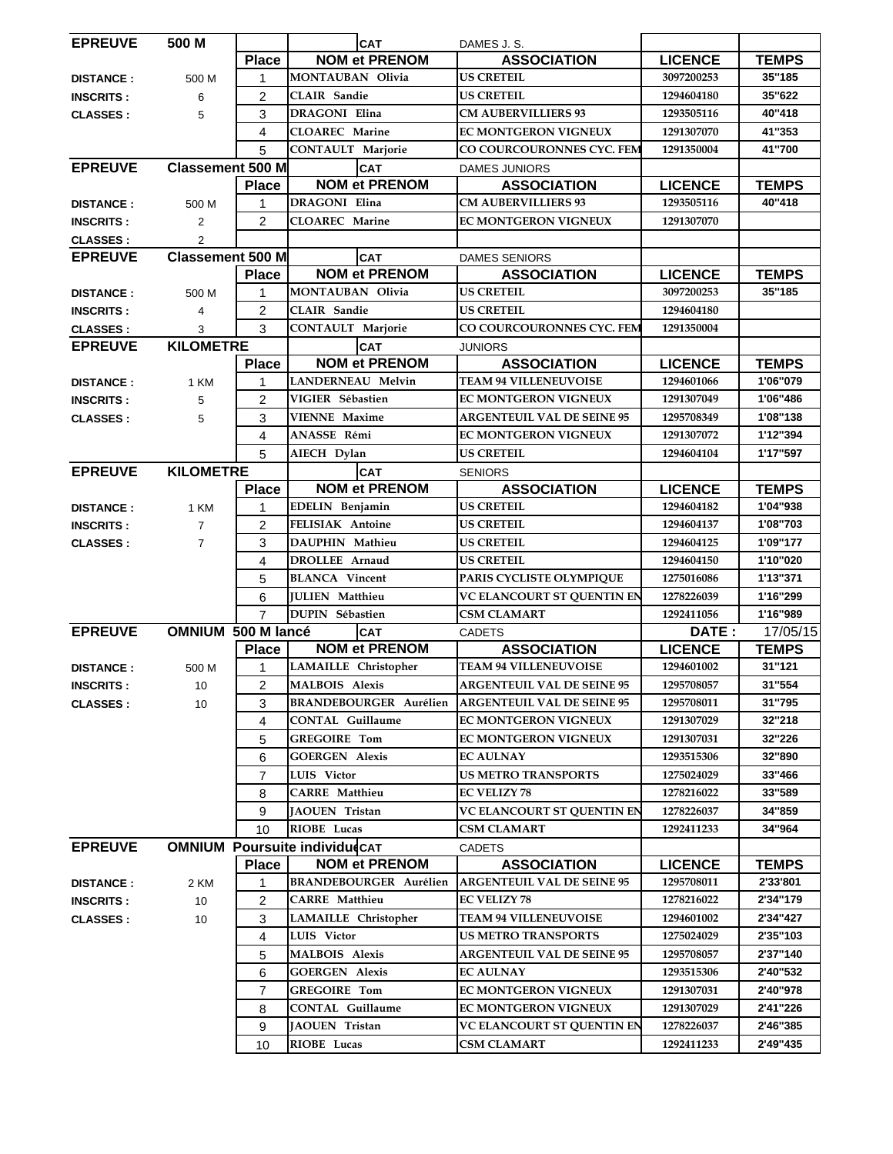| <b>EPREUVE</b>                     | 500 M                     |                | <b>CAT</b>                           | DAMES J.S.                                       |                |                      |
|------------------------------------|---------------------------|----------------|--------------------------------------|--------------------------------------------------|----------------|----------------------|
|                                    |                           | <b>Place</b>   | <b>NOM et PRENOM</b>                 | <b>ASSOCIATION</b>                               | <b>LICENCE</b> | <b>TEMPS</b>         |
| <b>DISTANCE:</b>                   | 500 M                     | 1              | <b>MONTAUBAN Olivia</b>              | <b>US CRETEIL</b>                                | 3097200253     | 35"185               |
| <b>INSCRITS:</b>                   | 6                         | $\overline{2}$ | <b>CLAIR</b> Sandie                  | <b>US CRETEIL</b>                                | 1294604180     | 35"622               |
| <b>CLASSES:</b>                    | 5                         | 3              | DRAGONI Elina                        | <b>CM AUBERVILLIERS 93</b>                       | 1293505116     | 40"418               |
|                                    |                           | 4              | <b>CLOAREC</b> Marine                | <b>EC MONTGERON VIGNEUX</b>                      | 1291307070     | 41"353               |
|                                    |                           | 5              | <b>CONTAULT Marjorie</b>             | CO COURCOURONNES CYC. FEM                        | 1291350004     | 41"700               |
| <b>EPREUVE</b>                     | <b>Classement 500 M</b>   |                | <b>CAT</b>                           | <b>DAMES JUNIORS</b>                             |                |                      |
|                                    |                           | <b>Place</b>   | <b>NOM et PRENOM</b>                 | <b>ASSOCIATION</b>                               | <b>LICENCE</b> | <b>TEMPS</b>         |
| <b>DISTANCE:</b>                   | 500 M                     | 1              | DRAGONI Elina                        | <b>CM AUBERVILLIERS 93</b>                       | 1293505116     | 40"418               |
| <b>INSCRITS:</b>                   | 2                         | $\overline{2}$ | <b>CLOAREC Marine</b>                | EC MONTGERON VIGNEUX                             | 1291307070     |                      |
| <b>CLASSES:</b>                    | $\overline{2}$            |                |                                      |                                                  |                |                      |
| <b>EPREUVE</b>                     | <b>Classement 500 M</b>   |                | <b>CAT</b>                           | <b>DAMES SENIORS</b>                             |                |                      |
|                                    |                           | <b>Place</b>   | <b>NOM et PRENOM</b>                 | <b>ASSOCIATION</b>                               | <b>LICENCE</b> | <b>TEMPS</b>         |
| <b>DISTANCE:</b>                   | 500 M                     | 1              | <b>MONTAUBAN Olivia</b>              | <b>US CRETEIL</b>                                | 3097200253     | 35"185               |
| <b>INSCRITS:</b>                   | 4                         | $\overline{2}$ | <b>CLAIR</b> Sandie                  | <b>US CRETEIL</b>                                | 1294604180     |                      |
| <b>CLASSES:</b>                    | 3                         | 3              | <b>CONTAULT Marjorie</b>             | CO COURCOURONNES CYC. FEM                        | 1291350004     |                      |
| <b>EPREUVE</b>                     | <b>KILOMETRE</b>          |                | <b>CAT</b>                           | <b>JUNIORS</b>                                   |                |                      |
|                                    |                           | <b>Place</b>   | <b>NOM et PRENOM</b>                 | <b>ASSOCIATION</b>                               | <b>LICENCE</b> | <b>TEMPS</b>         |
| <b>DISTANCE:</b>                   | 1 KM                      | 1              | LANDERNEAU Melvin                    | <b>TEAM 94 VILLENEUVOISE</b>                     | 1294601066     | 1'06"079             |
| <b>INSCRITS:</b>                   | 5                         | $\overline{c}$ | VIGIER Sébastien                     | EC MONTGERON VIGNEUX                             | 1291307049     | 1'06"486             |
| <b>CLASSES:</b>                    | 5                         | 3              | <b>VIENNE Maxime</b>                 | <b>ARGENTEUIL VAL DE SEINE 95</b>                | 1295708349     | 1'08"138             |
|                                    |                           | 4              | ANASSE Rémi                          | <b>EC MONTGERON VIGNEUX</b>                      | 1291307072     | 1'12"394             |
|                                    |                           | 5              | AIECH Dylan                          | <b>US CRETEIL</b>                                | 1294604104     | 1'17"597             |
| <b>KILOMETRE</b><br><b>EPREUVE</b> |                           |                | <b>CAT</b>                           | <b>SENIORS</b>                                   |                |                      |
|                                    |                           | <b>Place</b>   | <b>NOM et PRENOM</b>                 | <b>ASSOCIATION</b>                               | <b>LICENCE</b> | <b>TEMPS</b>         |
| <b>DISTANCE:</b>                   | 1 KM                      | 1              | <b>EDELIN</b> Benjamin               | <b>US CRETEIL</b>                                | 1294604182     | 1'04"938             |
| <b>INSCRITS:</b>                   | $\overline{7}$            | 2              | <b>FELISIAK Antoine</b>              | <b>US CRETEIL</b>                                | 1294604137     | 1'08"703             |
| <b>CLASSES:</b>                    | $\overline{7}$            | 3              | DAUPHIN Mathieu                      | <b>US CRETEIL</b>                                | 1294604125     | 1'09"177             |
|                                    |                           | 4              | <b>DROLLEE</b> Arnaud                | <b>US CRETEIL</b>                                | 1294604150     | 1'10"020             |
|                                    |                           | 5              | <b>BLANCA</b> Vincent                | PARIS CYCLISTE OLYMPIQUE                         | 1275016086     | 1'13"371             |
|                                    |                           | 6              | <b>IULIEN Matthieu</b>               | VC ELANCOURT ST QUENTIN EN                       | 1278226039     | 1'16"299             |
|                                    |                           | $\overline{7}$ | <b>DUPIN Sébastien</b>               | <b>CSM CLAMART</b>                               | 1292411056     | 1'16"989             |
| <b>EPREUVE</b>                     | <b>OMNIUM 500 M lancé</b> |                | <b>CAT</b>                           | <b>CADETS</b>                                    | DATE:          | 17/05/15             |
|                                    |                           | <b>Place</b>   | <b>NOM et PRENOM</b>                 | <b>ASSOCIATION</b>                               | <b>LICENCE</b> | <b>TEMPS</b>         |
| <b>DISTANCE:</b>                   | 500 M                     | 1              | LAMAILLE Christopher                 | <b>TEAM 94 VILLENEUVOISE</b>                     | 1294601002     | 31"121               |
| <b>INSCRITS:</b>                   | 10                        | $\overline{2}$ | <b>MALBOIS Alexis</b>                | <b>ARGENTEUIL VAL DE SEINE 95</b>                | 1295708057     | 31"554               |
| <b>CLASSES:</b>                    | 10                        | 3              | <b>BRANDEBOURGER Aurélien</b>        | <b>ARGENTEUIL VAL DE SEINE 95</b>                | 1295708011     | 31"795               |
|                                    |                           | 4              | <b>CONTAL Guillaume</b>              | <b>EC MONTGERON VIGNEUX</b>                      | 1291307029     | 32"218               |
|                                    |                           | 5              | <b>GREGOIRE Tom</b>                  | EC MONTGERON VIGNEUX                             | 1291307031     | 32"226               |
|                                    |                           | 6              | <b>GOERGEN Alexis</b>                | <b>EC AULNAY</b>                                 | 1293515306     | 32"890               |
|                                    |                           | $\overline{7}$ | LUIS Victor                          | <b>US METRO TRANSPORTS</b>                       | 1275024029     | 33"466               |
|                                    |                           | 8              | <b>CARRE</b> Matthieu                | <b>EC VELIZY 78</b>                              | 1278216022     | 33"589               |
|                                    |                           | 9              | JAOUEN Tristan                       | VC ELANCOURT ST QUENTIN EN                       | 1278226037     | 34"859               |
|                                    |                           | 10             | RIOBE Lucas                          | <b>CSM CLAMART</b>                               | 1292411233     | 34"964               |
| <b>EPREUVE</b>                     |                           |                | <b>OMNIUM Poursuite individudCAT</b> | <b>CADETS</b>                                    |                |                      |
|                                    |                           | <b>Place</b>   | <b>NOM et PRENOM</b>                 | <b>ASSOCIATION</b>                               | <b>LICENCE</b> | <b>TEMPS</b>         |
| <b>DISTANCE:</b>                   | 2 KM                      | 1              | <b>BRANDEBOURGER Aurélien</b>        | <b>ARGENTEUIL VAL DE SEINE 95</b>                | 1295708011     | 2'33'801             |
| <b>INSCRITS:</b>                   | 10                        | 2              | <b>CARRE</b> Matthieu                | <b>EC VELIZY 78</b>                              | 1278216022     | 2'34"179             |
| <b>CLASSES:</b>                    | 10                        | 3              | LAMAILLE Christopher                 | <b>TEAM 94 VILLENEUVOISE</b>                     | 1294601002     | 2'34"427             |
|                                    |                           | 4              | LUIS Victor                          | US METRO TRANSPORTS                              | 1275024029     | 2'35"103             |
|                                    |                           | 5              | <b>MALBOIS Alexis</b>                | <b>ARGENTEUIL VAL DE SEINE 95</b>                | 1295708057     | 2'37"140             |
|                                    |                           | 6              | <b>GOERGEN Alexis</b>                | <b>EC AULNAY</b>                                 | 1293515306     | 2'40"532             |
|                                    |                           | $\overline{7}$ | <b>GREGOIRE Tom</b>                  | EC MONTGERON VIGNEUX                             | 1291307031     | 2'40"978             |
|                                    |                           | 8              | <b>CONTAL Guillaume</b>              | EC MONTGERON VIGNEUX                             | 1291307029     | 2'41"226             |
|                                    |                           |                |                                      |                                                  |                |                      |
|                                    |                           | 9              | <b>JAOUEN</b> Tristan<br>RIOBE Lucas | VC ELANCOURT ST QUENTIN EN<br><b>CSM CLAMART</b> | 1278226037     | 2'46"385<br>2'49"435 |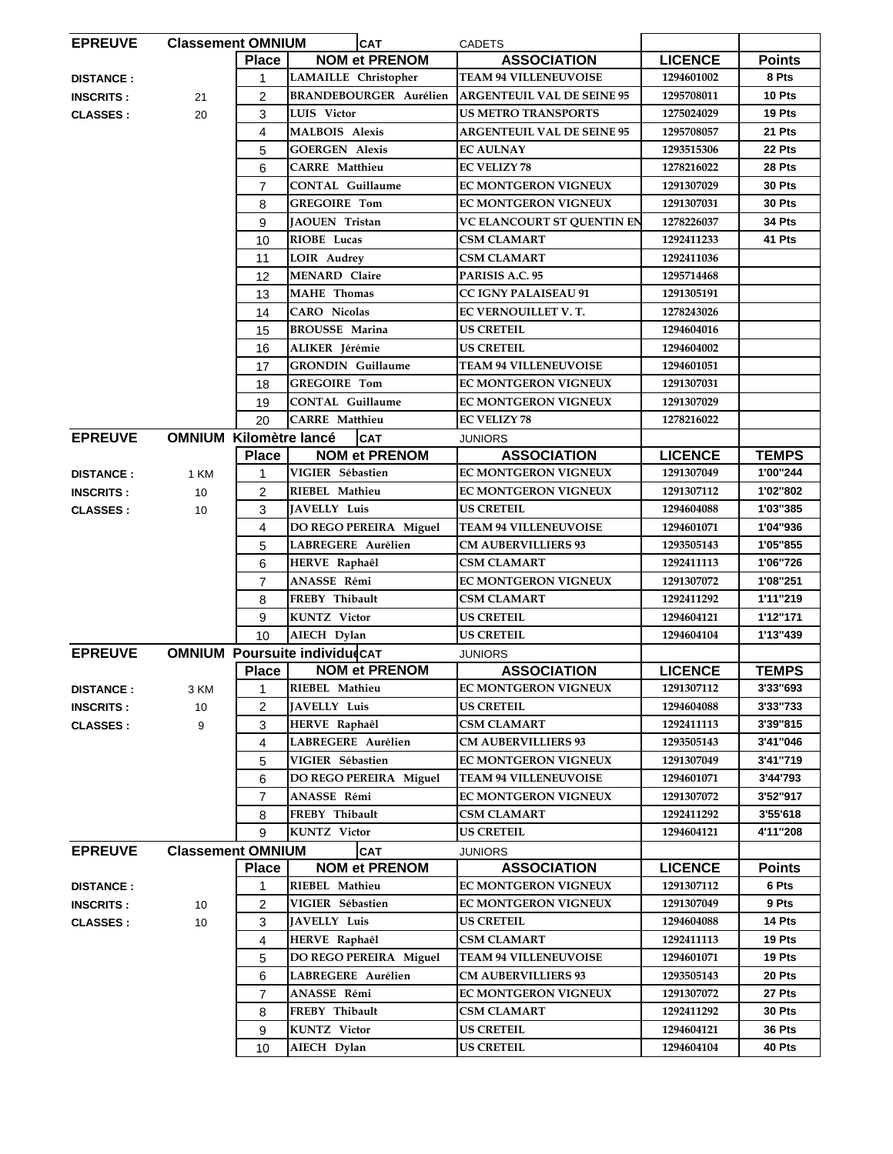| <b>EPREUVE</b>   | <b>Classement OMNIUM</b>      |                | <b>CAT</b>                           | <b>CADETS</b>                                       |                |               |
|------------------|-------------------------------|----------------|--------------------------------------|-----------------------------------------------------|----------------|---------------|
|                  |                               | <b>Place</b>   | <b>NOM et PRENOM</b>                 | <b>ASSOCIATION</b>                                  | <b>LICENCE</b> | <b>Points</b> |
| <b>DISTANCE:</b> |                               | 1              | LAMAILLE Christopher                 | <b>TEAM 94 VILLENEUVOISE</b>                        | 1294601002     | 8 Pts         |
| <b>INSCRITS:</b> | 21                            | $\overline{c}$ | <b>BRANDEBOURGER Aurélien</b>        | <b>ARGENTEUIL VAL DE SEINE 95</b>                   | 1295708011     | 10 Pts        |
| <b>CLASSES:</b>  | 20                            | 3              | LUIS Victor                          | <b>US METRO TRANSPORTS</b>                          | 1275024029     | 19 Pts        |
|                  |                               | 4              | <b>MALBOIS Alexis</b>                | <b>ARGENTEUIL VAL DE SEINE 95</b>                   | 1295708057     | 21 Pts        |
|                  |                               | 5              | <b>GOERGEN Alexis</b>                | <b>EC AULNAY</b>                                    | 1293515306     | 22 Pts        |
|                  |                               | 6              | <b>CARRE</b> Matthieu                | <b>EC VELIZY 78</b>                                 | 1278216022     | 28 Pts        |
|                  |                               | 7              | <b>CONTAL Guillaume</b>              | EC MONTGERON VIGNEUX                                | 1291307029     | 30 Pts        |
|                  |                               | 8              | <b>GREGOIRE Tom</b>                  | EC MONTGERON VIGNEUX                                | 1291307031     | 30 Pts        |
|                  |                               | 9              | <b>JAOUEN Tristan</b>                | VC ELANCOURT ST QUENTIN EN                          | 1278226037     | 34 Pts        |
|                  |                               | 10             | RIOBE Lucas                          | <b>CSM CLAMART</b>                                  | 1292411233     | 41 Pts        |
|                  |                               | 11             | <b>LOIR Audrey</b>                   | <b>CSM CLAMART</b>                                  | 1292411036     |               |
|                  |                               |                | <b>MENARD</b> Claire                 | PARISIS A.C. 95                                     | 1295714468     |               |
|                  |                               | 12             | <b>MAHE</b> Thomas                   |                                                     |                |               |
|                  |                               | 13             | <b>CARO</b> Nicolas                  | <b>CC IGNY PALAISEAU 91</b><br>EC VERNOUILLET V. T. | 1291305191     |               |
|                  |                               | 14             |                                      |                                                     | 1278243026     |               |
|                  |                               | 15             | <b>BROUSSE Marina</b>                | US CRETEIL                                          | 1294604016     |               |
|                  |                               | 16             | ALIKER Jérémie                       | <b>US CRETEIL</b>                                   | 1294604002     |               |
|                  |                               | 17             | <b>GRONDIN</b> Guillaume             | <b>TEAM 94 VILLENEUVOISE</b>                        | 1294601051     |               |
|                  |                               | 18             | <b>GREGOIRE Tom</b>                  | EC MONTGERON VIGNEUX                                | 1291307031     |               |
|                  |                               | 19             | <b>CONTAL Guillaume</b>              | EC MONTGERON VIGNEUX                                | 1291307029     |               |
|                  |                               | 20             | <b>CARRE</b> Matthieu                | <b>EC VELIZY 78</b>                                 | 1278216022     |               |
| <b>EPREUVE</b>   | <b>OMNIUM Kilomètre lancé</b> |                | <b>CAT</b>                           | JUNIORS                                             |                |               |
|                  |                               | <b>Place</b>   | <b>NOM et PRENOM</b>                 | <b>ASSOCIATION</b>                                  | <b>LICENCE</b> | <b>TEMPS</b>  |
| <b>DISTANCE:</b> | 1 KM                          | 1              | VIGIER Sébastien                     | <b>EC MONTGERON VIGNEUX</b>                         | 1291307049     | 1'00"244      |
| <b>INSCRITS:</b> | 10                            | $\overline{c}$ | RIEBEL Mathieu                       | EC MONTGERON VIGNEUX                                | 1291307112     | 1'02"802      |
| <b>CLASSES:</b>  | 10                            | 3              | <b>JAVELLY Luis</b>                  | <b>US CRETEIL</b>                                   | 1294604088     | 1'03"385      |
|                  |                               | 4              | DO REGO PEREIRA Miguel               | <b>TEAM 94 VILLENEUVOISE</b>                        | 1294601071     | 1'04"936      |
|                  |                               | 5              | LABREGERE Aurélien                   | <b>CM AUBERVILLIERS 93</b>                          | 1293505143     | 1'05"855      |
|                  |                               | 6              | HERVE Raphaêl                        | <b>CSM CLAMART</b>                                  | 1292411113     | 1'06"726      |
|                  |                               | $\overline{7}$ | ANASSE Rémi                          | <b>EC MONTGERON VIGNEUX</b>                         | 1291307072     | 1'08"251      |
|                  |                               | 8              | FREBY Thibault                       | <b>CSM CLAMART</b>                                  | 1292411292     | 1'11"219      |
|                  |                               | 9              | <b>KUNTZ</b> Victor                  | <b>US CRETEIL</b>                                   | 1294604121     | 1'12"171      |
|                  |                               | 10             | AIECH Dylan                          | <b>US CRETEIL</b>                                   | 1294604104     | 1'13"439      |
| <b>EPREUVE</b>   |                               |                | <b>OMNIUM Poursuite individudCAT</b> | <b>JUNIORS</b>                                      |                |               |
|                  |                               | <b>Place</b>   | <b>NOM et PRENOM</b>                 | <b>ASSOCIATION</b>                                  | <b>LICENCE</b> | <b>TEMPS</b>  |
| <b>DISTANCE:</b> | 3 KM                          | 1              | RIEBEL Mathieu                       | EC MONTGERON VIGNEUX                                | 1291307112     | 3'33"693      |
| <b>INSCRITS:</b> | 10                            | 2              | JAVELLY Luis                         | <b>US CRETEIL</b>                                   | 1294604088     | 3'33"733      |
| <b>CLASSES:</b>  | 9                             | 3              | HERVE Raphaêl                        | <b>CSM CLAMART</b>                                  | 1292411113     | 3'39"815      |
|                  |                               | 4              | LABREGERE Aurélien                   | <b>CM AUBERVILLIERS 93</b>                          | 1293505143     | 3'41"046      |
|                  |                               | 5              | VIGIER Sébastien                     | EC MONTGERON VIGNEUX                                | 1291307049     | 3'41"719      |
|                  |                               | 6              | DO REGO PEREIRA Miguel               | <b>TEAM 94 VILLENEUVOISE</b>                        | 1294601071     | 3'44'793      |
|                  |                               | 7              | ANASSE Rémi                          | EC MONTGERON VIGNEUX                                | 1291307072     | 3'52"917      |
|                  |                               | 8              | FREBY Thibault                       | <b>CSM CLAMART</b>                                  | 1292411292     | 3'55'618      |
|                  |                               | 9              | <b>KUNTZ</b> Victor                  | <b>US CRETEIL</b>                                   | 1294604121     | 4'11"208      |
| <b>EPREUVE</b>   | <b>Classement OMNIUM</b>      |                |                                      |                                                     |                |               |
|                  |                               |                | <b>CAT</b><br><b>NOM et PRENOM</b>   | <b>JUNIORS</b>                                      |                |               |
|                  |                               | <b>Place</b>   |                                      | <b>ASSOCIATION</b>                                  | <b>LICENCE</b> | <b>Points</b> |
| <b>DISTANCE:</b> |                               | 1              | RIEBEL Mathieu                       | EC MONTGERON VIGNEUX                                | 1291307112     | 6 Pts         |
| <b>INSCRITS:</b> | 10                            | 2              | VIGIER Sébastien                     | EC MONTGERON VIGNEUX                                | 1291307049     | 9 Pts         |
| <b>CLASSES:</b>  | 10                            | 3              | <b>JAVELLY Luis</b>                  | <b>US CRETEIL</b>                                   | 1294604088     | 14 Pts        |
|                  |                               | 4              | HERVE Raphaêl                        | <b>CSM CLAMART</b>                                  | 1292411113     | 19 Pts        |
|                  |                               | 5              | DO REGO PEREIRA Miguel               | <b>TEAM 94 VILLENEUVOISE</b>                        | 1294601071     | 19 Pts        |
|                  |                               | 6              | LABREGERE Aurélien                   | <b>CM AUBERVILLIERS 93</b>                          | 1293505143     | 20 Pts        |
|                  |                               | 7              | ANASSE Rémi                          | EC MONTGERON VIGNEUX                                | 1291307072     | 27 Pts        |
|                  |                               | 8              | FREBY Thibault                       | <b>CSM CLAMART</b>                                  | 1292411292     | 30 Pts        |
|                  |                               | 9              | <b>KUNTZ</b> Victor                  | <b>US CRETEIL</b>                                   | 1294604121     | 36 Pts        |
|                  |                               | 10             | AIECH Dylan                          | <b>US CRETEIL</b>                                   | 1294604104     | 40 Pts        |